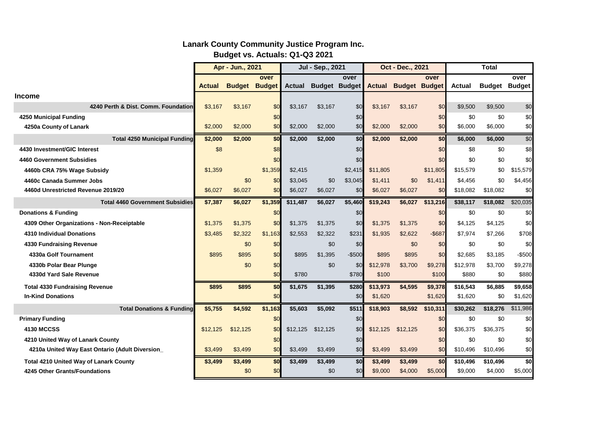|                                                 | Apr - Jun., 2021 |                      |         | Jul - Sep., 2021 |                      |         | Oct - Dec., 2021 |                      |           | Total         |                      |           |
|-------------------------------------------------|------------------|----------------------|---------|------------------|----------------------|---------|------------------|----------------------|-----------|---------------|----------------------|-----------|
|                                                 |                  |                      | over    |                  |                      | over    |                  |                      | over      |               |                      | over      |
|                                                 | Actual           | <b>Budget Budget</b> |         | <b>Actual</b>    | <b>Budget Budget</b> |         | <b>Actual</b>    | <b>Budget Budget</b> |           | <b>Actual</b> | <b>Budget Budget</b> |           |
| <b>Income</b>                                   |                  |                      |         |                  |                      |         |                  |                      |           |               |                      |           |
| 4240 Perth & Dist. Comm. Foundation             | \$3,167          | \$3,167              | \$0     | \$3.167          | \$3.167              | \$0     | \$3.167          | \$3,167              | \$0       | \$9,500       | \$9,500              | \$0       |
| 4250 Municipal Funding                          |                  |                      | \$0     |                  |                      | \$0     |                  |                      | \$0       | \$0           | \$0                  | \$0       |
| 4250a County of Lanark                          | \$2,000          | \$2,000              | \$0     | \$2,000          | \$2,000              | \$0     | \$2,000          | \$2,000              | \$0       | \$6,000       | \$6,000              | \$0       |
| <b>Total 4250 Municipal Funding</b>             | \$2,000          | \$2,000              | \$0     | \$2,000          | \$2,000              | \$0     | \$2,000          | \$2,000              | \$0       | \$6,000       | \$6,000              | \$0       |
| 4430 Investment/GIC Interest                    | \$8              |                      | \$8     |                  |                      | \$0     |                  |                      | \$0       | \$8           | \$0                  | \$8       |
| 4460 Government Subsidies                       |                  |                      | \$0     |                  |                      | \$0     |                  |                      | \$0       | \$0           | \$0                  | \$0       |
| 4460b CRA 75% Wage Subsidy                      | \$1,359          |                      | \$1,359 | \$2,415          |                      | \$2,415 | \$11,805         |                      | \$11,805  | \$15,579      | \$0                  | \$15,579  |
| 4460c Canada Summer Jobs                        |                  | \$0                  | \$0     | \$3,045          | \$0                  | \$3,045 | \$1,411          | \$0                  | \$1,411   | \$4,456       | \$0                  | \$4,456   |
| 4460d Unrestricted Revenue 2019/20              | \$6,027          | \$6,027              | \$0     | \$6,027          | \$6,027              | \$0     | \$6,027          | \$6,027              | \$0       | \$18,082      | \$18,082             | \$0       |
| <b>Total 4460 Government Subsidies</b>          | \$7,387          | \$6,027              | \$1,359 | \$11,487         | \$6,027              | \$5,460 | \$19,243         | \$6,027              | \$13,216  | \$38,117      | \$18,082             | \$20,035  |
| <b>Donations &amp; Funding</b>                  |                  |                      | \$0     |                  |                      | \$0     |                  |                      | \$0       | \$0           | \$0                  | \$0       |
| 4309 Other Organizations - Non-Receiptable      | \$1.375          | \$1,375              | \$0     | \$1,375          | \$1,375              | \$0     | \$1,375          | \$1,375              | \$0       | \$4,125       | \$4,125              | \$0       |
| <b>4310 Individual Donations</b>                | \$3,485          | \$2,322              | \$1,163 | \$2,553          | \$2,322              | \$231   | \$1,935          | \$2,622              | $-$ \$687 | \$7,974       | \$7,266              | \$708     |
| 4330 Fundraising Revenue                        |                  | \$0                  | \$0     |                  | \$0                  | \$0     |                  | \$0                  | \$0       | \$0           | \$0                  | \$0       |
| 4330a Golf Tournament                           | \$895            | \$895                | \$0     | \$895            | \$1,395              | $-$500$ | \$895            | \$895                | \$0       | \$2,685       | \$3,185              | $-$ \$500 |
| 4330b Polar Bear Plunge                         |                  | \$0                  | \$0     |                  | \$0                  | \$0     | \$12,978         | \$3,700              | \$9,278   | \$12,978      | \$3,700              | \$9,278   |
| 4330d Yard Sale Revenue                         |                  |                      | \$0     | \$780            |                      | \$780   | \$100            |                      | \$100     | \$880         | \$0                  | \$880     |
| <b>Total 4330 Fundraising Revenue</b>           | \$895            | \$895                | \$0     | \$1,675          | \$1,395              | \$280   | \$13,973         | \$4,595              | \$9,378   | \$16,543      | \$6,885              | \$9,658   |
| <b>In-Kind Donations</b>                        |                  |                      | \$0     |                  |                      | \$0     | \$1,620          |                      | \$1,620   | \$1,620       | \$0                  | \$1,620   |
| <b>Total Donations &amp; Funding</b>            | \$5,755          | \$4,592              | \$1,163 | \$5,603          | \$5,092              | \$511   | \$18,903         | \$8,592              | \$10,311  | \$30,262      | \$18,276             | \$11,986  |
| <b>Primary Funding</b>                          |                  |                      | \$0     |                  |                      | \$0     |                  |                      | \$0       | \$0           | \$0                  | \$0       |
| <b>4130 MCCSS</b>                               | \$12.125         | \$12,125             | \$0     | \$12,125         | \$12.125             | \$0     | \$12,125         | \$12.125             | \$0       | \$36.375      | \$36.375             | \$0       |
| 4210 United Way of Lanark County                |                  |                      | \$0     |                  |                      | \$0     |                  |                      | \$0       | \$0           | \$0                  | \$0       |
| 4210a United Way East Ontario (Adult Diversion_ | \$3,499          | \$3,499              | \$0     | \$3,499          | \$3,499              | \$0     | \$3,499          | \$3,499              | \$0       | \$10,496      | \$10,496             | \$0       |
| Total 4210 United Way of Lanark County          | \$3,499          | \$3,499              | \$0     | \$3,499          | \$3,499              | \$0     | \$3,499          | \$3,499              | \$0       | \$10,496      | \$10,496             | \$0       |
| 4245 Other Grants/Foundations                   |                  | \$0                  | \$0     |                  | \$0                  | \$0     | \$9,000          | \$4,000              | \$5,000   | \$9,000       | \$4,000              | \$5,000   |

## **Lanark County Community Justice Program Inc. Budget vs. Actuals: Q1-Q3 2021**